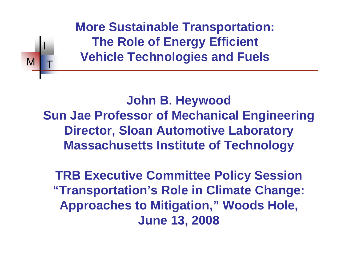**More Sustainable Transportation: The Role of Energy Efficient Vehicle Technologies and Fuels**

I

 $M$   $\vert$   $\vert$   $\vert$ 

**John B. Heywood Sun Jae Professor of Mechanical Engineering Director, Sloan Automotive Laboratory Massachusetts Institute of Technology**

**TRB Executive Committee Policy Session "Transportation's Role in Climate Change: Approaches to Mitigation," Woods Hole, June 13, 2008**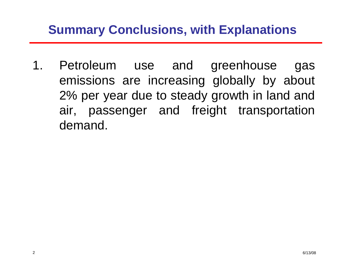### **Summary Conclusions, with Explanations**

1. Petroleum use and greenhouse gas emissions are increasing globally by about 2% per year due to steady growth in land and air, passenger and freight transportation demand.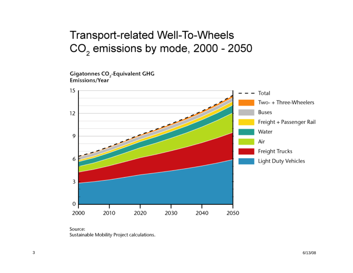#### Transport-related Well-To-Wheels CO<sub>2</sub> emissions by mode, 2000 - 2050

Gigatonnes CO<sub>2</sub>-Equivalent GHG Emissions/Year



Source: Sustainable Mobility Project calculations.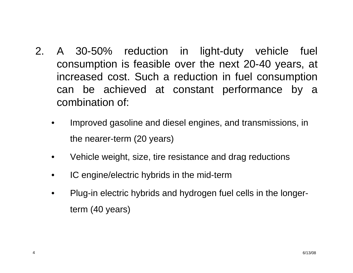- 2. A 30-50% reduction in light-duty vehicle fuel consumption is feasible over the next 20-40 years, at increased cost. Such a reduction in fuel consumption can be achieved at constant performance by a combination of:
	- Improved gasoline and diesel engines, and transmissions, in the nearer-term (20 years)
	- Vehicle weight, size, tire resistance and drag reductions
	- IC engine/electric hybrids in the mid-term
	- Plug-in electric hybrids and hydrogen fuel cells in the longerterm (40 years)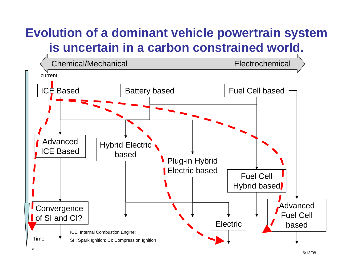# **Evolution of a dominant vehicle powertrain system is uncertain in a carbon constrained world.**

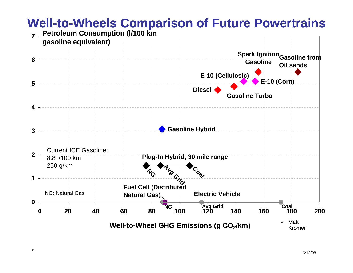#### **Well-to-Wheels Comparison of Future Powertrains**

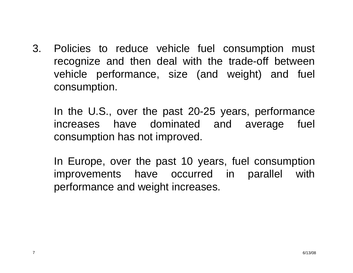3. Policies to reduce vehicle fuel consumption must recognize and then deal with the trade-off between vehicle performance, size (and weight) and fuel consumption.

In the U.S., over the past 20-25 years, performance increases have dominated and average fuel consumption has not improved.

In Europe, over the past 10 years, fuel consumption improvements have occurred in parallel with performance and weight increases.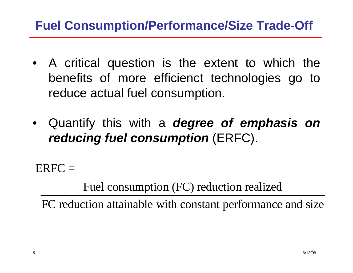### **Fuel Consumption/Performance/Size Trade-Off**

- A critical question is the extent to which the benefits of more efficienct technologies go to reduce actual fuel consumption.
- Quantify this with a *degree of emphasis on reducing fuel consumption* (ERFC).

 $ERFC =$ 

Fuel consumption (FC) reduction realized

FC reduction attainable with constant performance and size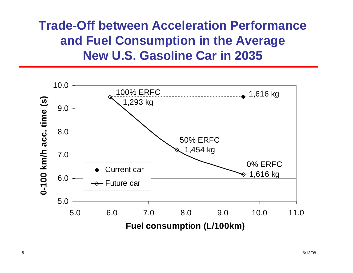### **Trade-Off between Acceleration Performanceand Fuel Consumption in the Average New U.S. Gasoline Car in 2035**

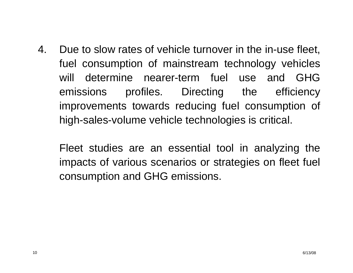4. Due to slow rates of vehicle turnover in the in-use fleet, fuel consumption of mainstream technology vehicles will determine nearer-term fuel use and GHG emissions profiles. Directing the efficiency improvements towards reducing fuel consumption of high-sales-volume vehicle technologies is critical.

Fleet studies are an essential tool in analyzing the impacts of various scenarios or strategies on fleet fuel consumption and GHG emissions.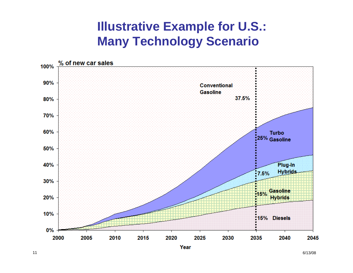### **Illustrative Example for U.S.: Many Technology Scenario**

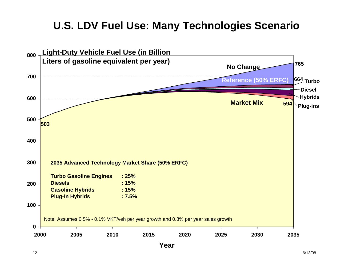#### **U.S. LDV Fuel Use: Many Technologies Scenario**

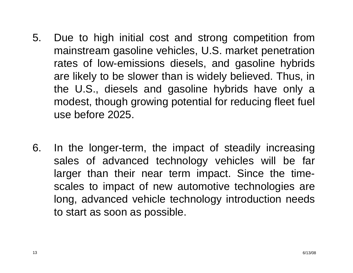- 5. Due to high initial cost and strong competition from mainstream gasoline vehicles, U.S. market penetration rates of low-emissions diesels, and gasoline hybrids are likely to be slower than is widely believed. Thus, in the U.S., diesels and gasoline hybrids have only a modest, though growing potential for reducing fleet fuel use before 2025.
- 6. In the longer-term, the impact of steadily increasing sales of advanced technology vehicles will be far larger than their near term impact. Since the timescales to impact of new automotive technologies are long, advanced vehicle technology introduction needs to start as soon as possible.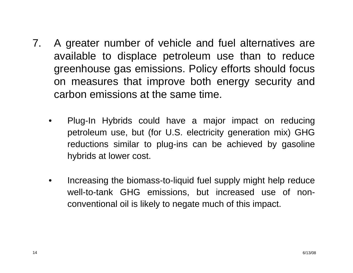- 7. A greater number of vehicle and fuel alternatives are available to displace petroleum use than to reduce greenhouse gas emissions. Policy efforts should focus on measures that improve both energy security and carbon emissions at the same time.
	- Plug-In Hybrids could have a major impact on reducing petroleum use, but (for U.S. electricity generation mix) GHG reductions similar to plug-ins can be achieved by gasoline hybrids at lower cost.
	- Increasing the biomass-to-liquid fuel supply might help reduce well-to-tank GHG emissions, but increased use of nonconventional oil is likely to negate much of this impact.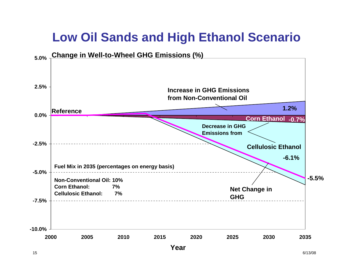## **Low Oil Sands and High Ethanol Scenario**